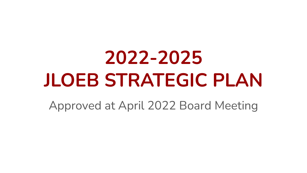# **2022-2025 JLOEB STRATEGIC PLAN**

Approved at April 2022 Board Meeting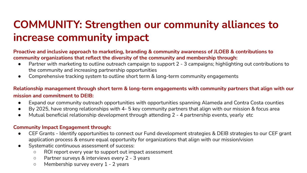## **COMMUNITY: Strengthen our community alliances to increase community impact**

#### **Proactive and inclusive approach to marketing, branding & community awareness of JLOEB & contributions to community organizations that reflect the diversity of the community and membership through:**

- Partner with marketing to outline outreach campaign to support 2 3 campaigns; highlighting out contributions to the community and increasing partnership opportunities
- Comprehensive tracking system to outline short term & long-term community engagements

**Relationship management through short term & long-term engagements with community partners that align with our mission and commitment to DEIB:**

- Expand our community outreach opportunities with opportunities spanning Alameda and Contra Costa counties
- By 2025, have strong relationships with 4- 5 key community partners that align with our mission & focus area
- Mutual beneficial relationship development through attending 2 4 partnership events, yearly etc

#### **Community Impact Engagement through:**

- CEF Grants Identify opportunities to connect our Fund development strategies & DEIB strategies to our CEF grant application process & ensure equal opportunity for organizations that align with our mission/vision
- Systematic continuous assessment of success:
	- ROI report every year to support out impact assessment
	- Partner surveys & interviews every 2 3 years
	- Membership survey every 1 2 years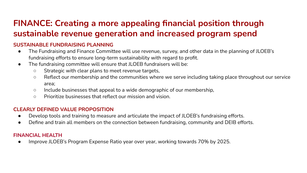### **FINANCE: Creating a more appealing financial position through sustainable revenue generation and increased program spend**

#### **SUSTAINABLE FUNDRAISING PLANNING**

- The Fundraising and Finance Committee will use revenue, survey, and other data in the planning of JLOEB's fundraising efforts to ensure long-term sustainability with regard to profit.
- The fundraising committee will ensure that JLOEB fundraisers will be:
	- Strategic with clear plans to meet revenue targets,
	- Reflect our membership and the communities where we serve including taking place throughout our service area;
	- Include businesses that appeal to a wide demographic of our membership,
	- Prioritize businesses that reflect our mission and vision.

#### **CLEARLY DEFINED VALUE PROPOSITION**

- Develop tools and training to measure and articulate the impact of JLOEB's fundraising efforts.
- Define and train all members on the connection between fundraising, community and DEIB efforts.

#### **FINANCIAL HEALTH**

● Improve JLOEB's Program Expense Ratio year over year, working towards 70% by 2025.